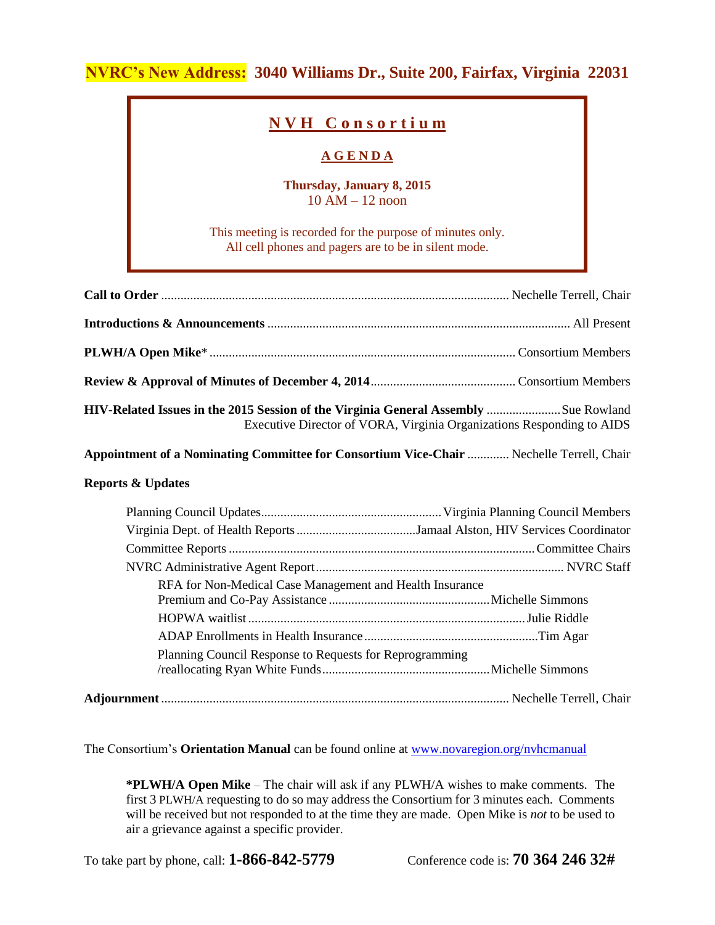### **NVRC's New Address: 3040 Williams Dr., Suite 200, Fairfax, Virginia 22031**

# **N V H C o n s o r t i u m**

### **A G E N D A**

#### **Thursday, January 8, 2015**  $10$  AM  $-$  12 noon

This meeting is recorded for the purpose of minutes only. All cell phones and pagers are to be in silent mode.

| HIV-Related Issues in the 2015 Session of the Virginia General Assembly Sue Rowland<br>Executive Director of VORA, Virginia Organizations Responding to AIDS |  |
|--------------------------------------------------------------------------------------------------------------------------------------------------------------|--|
| Appointment of a Nominating Committee for Consortium Vice-Chair  Nechelle Terrell, Chair                                                                     |  |
| <b>Reports &amp; Updates</b>                                                                                                                                 |  |
|                                                                                                                                                              |  |
|                                                                                                                                                              |  |
|                                                                                                                                                              |  |
|                                                                                                                                                              |  |
| RFA for Non-Medical Case Management and Health Insurance                                                                                                     |  |
|                                                                                                                                                              |  |
|                                                                                                                                                              |  |
|                                                                                                                                                              |  |
|                                                                                                                                                              |  |
| Planning Council Response to Requests for Reprogramming                                                                                                      |  |

The Consortium's **Orientation Manual** can be found online at [www.novaregion.org/nvhcmanual](http://www.novaregion.org/nvhcmanual)

**\*PLWH/A Open Mike** – The chair will ask if any PLWH/A wishes to make comments. The first 3 PLWH/A requesting to do so may address the Consortium for 3 minutes each. Comments will be received but not responded to at the time they are made. Open Mike is *not* to be used to air a grievance against a specific provider.